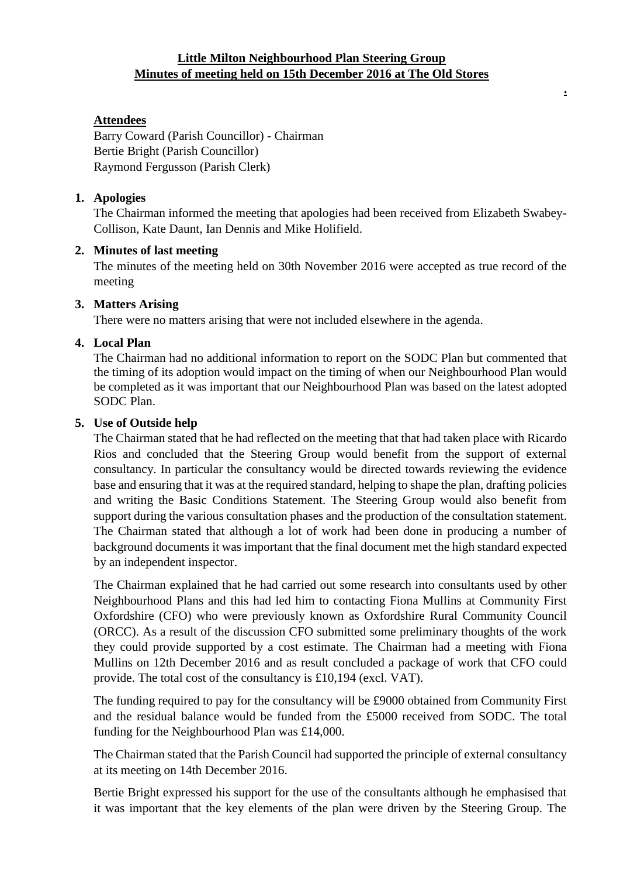# **Little Milton Neighbourhood Plan Steering Group Minutes of meeting held on 15th December 2016 at The Old Stores**

**.**

# **Attendees**

Barry Coward (Parish Councillor) - Chairman Bertie Bright (Parish Councillor) Raymond Fergusson (Parish Clerk)

### **1. Apologies**

The Chairman informed the meeting that apologies had been received from Elizabeth Swabey-Collison, Kate Daunt, Ian Dennis and Mike Holifield.

### **2. Minutes of last meeting**

The minutes of the meeting held on 30th November 2016 were accepted as true record of the meeting

### **3. Matters Arising**

There were no matters arising that were not included elsewhere in the agenda.

### **4. Local Plan**

The Chairman had no additional information to report on the SODC Plan but commented that the timing of its adoption would impact on the timing of when our Neighbourhood Plan would be completed as it was important that our Neighbourhood Plan was based on the latest adopted SODC Plan.

### **5. Use of Outside help**

The Chairman stated that he had reflected on the meeting that that had taken place with Ricardo Rios and concluded that the Steering Group would benefit from the support of external consultancy. In particular the consultancy would be directed towards reviewing the evidence base and ensuring that it was at the required standard, helping to shape the plan, drafting policies and writing the Basic Conditions Statement. The Steering Group would also benefit from support during the various consultation phases and the production of the consultation statement. The Chairman stated that although a lot of work had been done in producing a number of background documents it was important that the final document met the high standard expected by an independent inspector.

The Chairman explained that he had carried out some research into consultants used by other Neighbourhood Plans and this had led him to contacting Fiona Mullins at Community First Oxfordshire (CFO) who were previously known as Oxfordshire Rural Community Council (ORCC). As a result of the discussion CFO submitted some preliminary thoughts of the work they could provide supported by a cost estimate. The Chairman had a meeting with Fiona Mullins on 12th December 2016 and as result concluded a package of work that CFO could provide. The total cost of the consultancy is £10,194 (excl. VAT).

The funding required to pay for the consultancy will be £9000 obtained from Community First and the residual balance would be funded from the £5000 received from SODC. The total funding for the Neighbourhood Plan was £14,000.

The Chairman stated that the Parish Council had supported the principle of external consultancy at its meeting on 14th December 2016.

Bertie Bright expressed his support for the use of the consultants although he emphasised that it was important that the key elements of the plan were driven by the Steering Group. The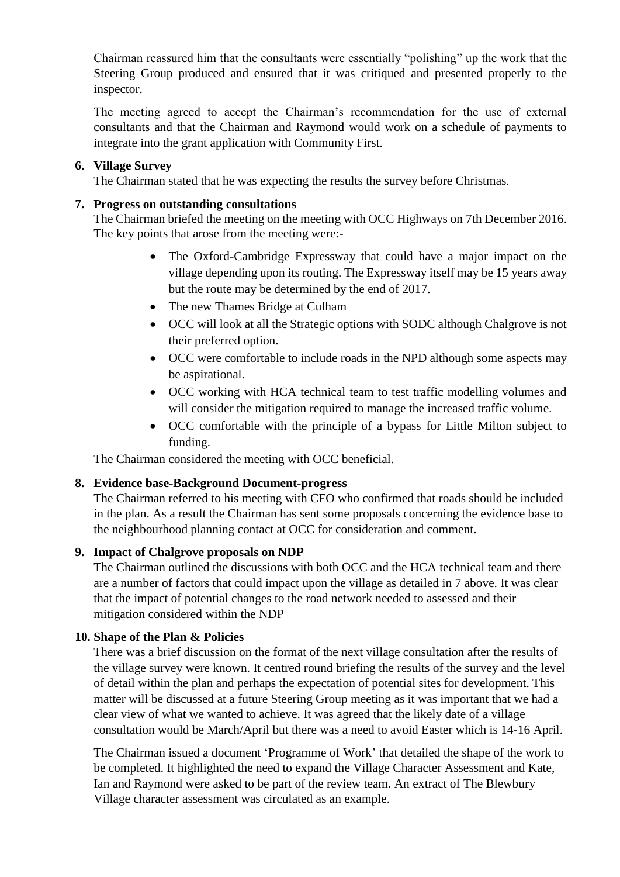Chairman reassured him that the consultants were essentially "polishing" up the work that the Steering Group produced and ensured that it was critiqued and presented properly to the inspector.

The meeting agreed to accept the Chairman's recommendation for the use of external consultants and that the Chairman and Raymond would work on a schedule of payments to integrate into the grant application with Community First.

### **6. Village Survey**

The Chairman stated that he was expecting the results the survey before Christmas.

### **7. Progress on outstanding consultations**

The Chairman briefed the meeting on the meeting with OCC Highways on 7th December 2016. The key points that arose from the meeting were:-

- The Oxford-Cambridge Expressway that could have a major impact on the village depending upon its routing. The Expressway itself may be 15 years away but the route may be determined by the end of 2017.
- The new Thames Bridge at Culham
- OCC will look at all the Strategic options with SODC although Chalgrove is not their preferred option.
- OCC were comfortable to include roads in the NPD although some aspects may be aspirational.
- OCC working with HCA technical team to test traffic modelling volumes and will consider the mitigation required to manage the increased traffic volume.
- OCC comfortable with the principle of a bypass for Little Milton subject to funding.

The Chairman considered the meeting with OCC beneficial.

# **8. Evidence base-Background Document-progress**

The Chairman referred to his meeting with CFO who confirmed that roads should be included in the plan. As a result the Chairman has sent some proposals concerning the evidence base to the neighbourhood planning contact at OCC for consideration and comment.

# **9. Impact of Chalgrove proposals on NDP**

The Chairman outlined the discussions with both OCC and the HCA technical team and there are a number of factors that could impact upon the village as detailed in 7 above. It was clear that the impact of potential changes to the road network needed to assessed and their mitigation considered within the NDP

# **10. Shape of the Plan & Policies**

There was a brief discussion on the format of the next village consultation after the results of the village survey were known. It centred round briefing the results of the survey and the level of detail within the plan and perhaps the expectation of potential sites for development. This matter will be discussed at a future Steering Group meeting as it was important that we had a clear view of what we wanted to achieve. It was agreed that the likely date of a village consultation would be March/April but there was a need to avoid Easter which is 14-16 April.

The Chairman issued a document 'Programme of Work' that detailed the shape of the work to be completed. It highlighted the need to expand the Village Character Assessment and Kate, Ian and Raymond were asked to be part of the review team. An extract of The Blewbury Village character assessment was circulated as an example.